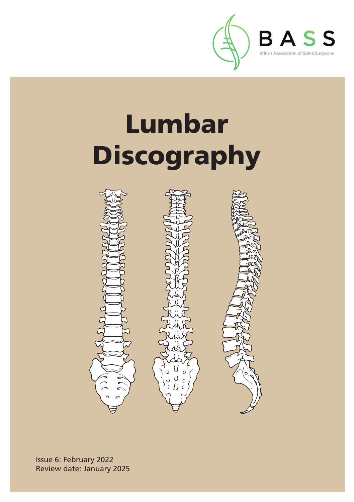

# Lumbar Discography



Issue 6: February 2022 Review date: January 2025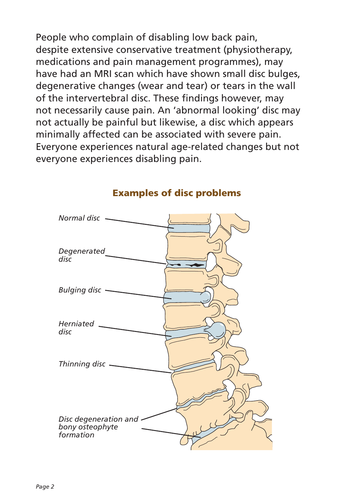People who complain of disabling low back pain, despite extensive conservative treatment (physiotherapy, medications and pain management programmes), may have had an MRI scan which have shown small disc bulges, degenerative changes (wear and tear) or tears in the wall of the intervertebral disc. These findings however, may not necessarily cause pain. An 'abnormal looking' disc may not actually be painful but likewise, a disc which appears minimally affected can be associated with severe pain. Everyone experiences natural age-related changes but not everyone experiences disabling pain.



#### Examples of disc problems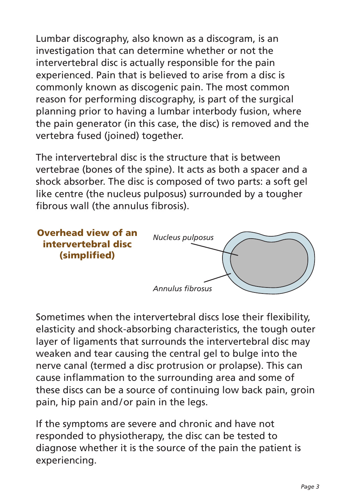Lumbar discography, also known as a discogram, is an investigation that can determine whether or not the intervertebral disc is actually responsible for the pain experienced. Pain that is believed to arise from a disc is commonly known as discogenic pain. The most common reason for performing discography, is part of the surgical planning prior to having a lumbar interbody fusion, where the pain generator (in this case, the disc) is removed and the vertebra fused (joined) together.

The intervertebral disc is the structure that is between vertebrae (bones of the spine). It acts as both a spacer and a shock absorber. The disc is composed of two parts: a soft gel like centre (the nucleus pulposus) surrounded by a tougher fibrous wall (the annulus fibrosis).

![](_page_2_Figure_2.jpeg)

Sometimes when the intervertebral discs lose their flexibility, elasticity and shock-absorbing characteristics, the tough outer layer of ligaments that surrounds the intervertebral disc may weaken and tear causing the central gel to bulge into the nerve canal (termed a disc protrusion or prolapse). This can cause inflammation to the surrounding area and some of these discs can be a source of continuing low back pain, groin pain, hip pain and/or pain in the legs.

If the symptoms are severe and chronic and have not responded to physiotherapy, the disc can be tested to diagnose whether it is the source of the pain the patient is experiencing.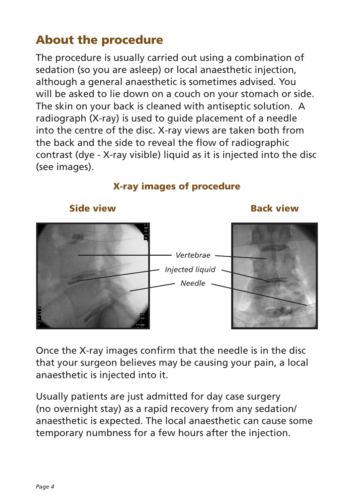# About the procedure

The procedure is usually carried out using a combination of sedation (so you are asleep) or local anaesthetic injection, although a general anaesthetic is sometimes advised. You will be asked to lie down on a couch on your stomach or side. The skin on your back is cleaned with antiseptic solution. A radiograph (X-ray) is used to guide placement of a needle into the centre of the disc. X-ray views are taken both from the back and the side to reveal the flow of radiographic contrast (dye - X-ray visible) liquid as it is injected into the disc (see images).

![](_page_3_Figure_2.jpeg)

X-ray images of procedure

Once the X-ray images confirm that the needle is in the disc that your surgeon believes may be causing your pain, a local anaesthetic is injected into it.

Usually patients are just admitted for day case surgery (no overnight stay) as a rapid recovery from any sedation/ anaesthetic is expected. The local anaesthetic can cause some temporary numbness for a few hours after the injection.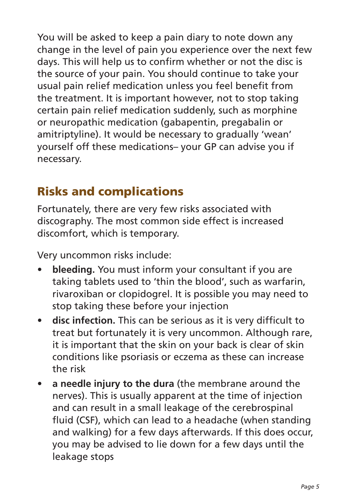You will be asked to keep a pain diary to note down any change in the level of pain you experience over the next few days. This will help us to confirm whether or not the disc is the source of your pain. You should continue to take your usual pain relief medication unless you feel benefit from the treatment. It is important however, not to stop taking certain pain relief medication suddenly, such as morphine or neuropathic medication (gabapentin, pregabalin or amitriptyline). It would be necessary to gradually 'wean' yourself off these medications– your GP can advise you if necessary.

# Risks and complications

Fortunately, there are very few risks associated with discography. The most common side effect is increased discomfort, which is temporary.

Very uncommon risks include:

- **bleeding.** You must inform your consultant if you are taking tablets used to 'thin the blood', such as warfarin, rivaroxiban or clopidogrel. It is possible you may need to stop taking these before your injection
- **disc infection.** This can be serious as it is very difficult to treat but fortunately it is very uncommon. Although rare, it is important that the skin on your back is clear of skin conditions like psoriasis or eczema as these can increase the risk
- **a needle injury to the dura** (the membrane around the nerves). This is usually apparent at the time of injection and can result in a small leakage of the cerebrospinal fluid (CSF), which can lead to a headache (when standing and walking) for a few days afterwards. If this does occur, you may be advised to lie down for a few days until the leakage stops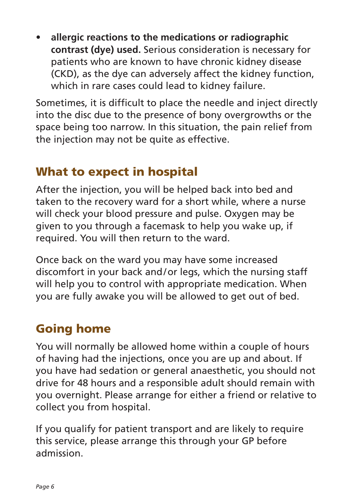• **allergic reactions to the medications or radiographic contrast (dye) used.** Serious consideration is necessary for patients who are known to have chronic kidney disease (CKD), as the dye can adversely affect the kidney function, which in rare cases could lead to kidney failure.

Sometimes, it is difficult to place the needle and inject directly into the disc due to the presence of bony overgrowths or the space being too narrow. In this situation, the pain relief from the injection may not be quite as effective.

### What to expect in hospital

After the injection, you will be helped back into bed and taken to the recovery ward for a short while, where a nurse will check your blood pressure and pulse. Oxygen may be given to you through a facemask to help you wake up, if required. You will then return to the ward.

Once back on the ward you may have some increased discomfort in your back and/or legs, which the nursing staff will help you to control with appropriate medication. When you are fully awake you will be allowed to get out of bed.

# Going home

You will normally be allowed home within a couple of hours of having had the injections, once you are up and about. If you have had sedation or general anaesthetic, you should not drive for 48 hours and a responsible adult should remain with you overnight. Please arrange for either a friend or relative to collect you from hospital.

If you qualify for patient transport and are likely to require this service, please arrange this through your GP before admission.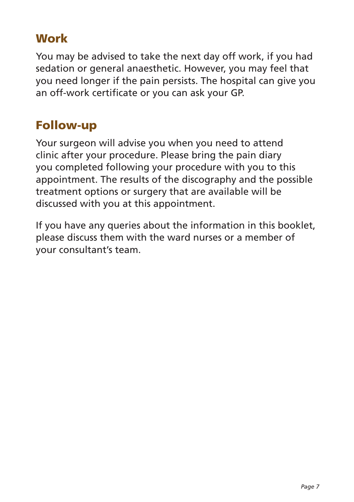### **Work**

You may be advised to take the next day off work, if you had sedation or general anaesthetic. However, you may feel that you need longer if the pain persists. The hospital can give you an off-work certificate or you can ask your GP.

# Follow-up

Your surgeon will advise you when you need to attend clinic after your procedure. Please bring the pain diary you completed following your procedure with you to this appointment. The results of the discography and the possible treatment options or surgery that are available will be discussed with you at this appointment.

If you have any queries about the information in this booklet, please discuss them with the ward nurses or a member of your consultant's team.